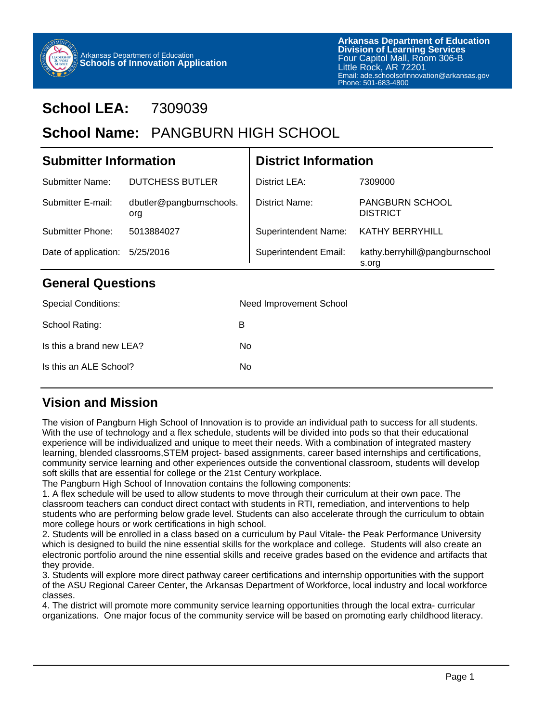

# **School LEA:** 7309039

# School Name: PANGBURN HIGH SCHOOL

| <b>Submitter Information</b> |                                 | <b>District Information</b>  |                                           |  |
|------------------------------|---------------------------------|------------------------------|-------------------------------------------|--|
| <b>Submitter Name:</b>       | <b>DUTCHESS BUTLER</b>          | District LEA:                | 7309000                                   |  |
| Submitter E-mail:            | dbutler@pangburnschools.<br>org | District Name:               | <b>PANGBURN SCHOOL</b><br><b>DISTRICT</b> |  |
| Submitter Phone:             | 5013884027                      | <b>Superintendent Name:</b>  | KATHY BERRYHILL                           |  |
| Date of application:         | 5/25/2016                       | <b>Superintendent Email:</b> | kathy.berryhill@pangburnschool<br>s.org   |  |

#### **General Questions**

| <b>Special Conditions:</b> | Need Improvement School |
|----------------------------|-------------------------|
| School Rating:             | в                       |
| Is this a brand new LEA?   | No.                     |
| Is this an ALE School?     | No.                     |
|                            |                         |

## **Vision and Mission**

The vision of Pangburn High School of Innovation is to provide an individual path to success for all students. With the use of technology and a flex schedule, students will be divided into pods so that their educational experience will be individualized and unique to meet their needs. With a combination of integrated mastery learning, blended classrooms,STEM project- based assignments, career based internships and certifications, community service learning and other experiences outside the conventional classroom, students will develop soft skills that are essential for college or the 21st Century workplace.

The Pangburn High School of Innovation contains the following components:

1. A flex schedule will be used to allow students to move through their curriculum at their own pace. The classroom teachers can conduct direct contact with students in RTI, remediation, and interventions to help students who are performing below grade level. Students can also accelerate through the curriculum to obtain more college hours or work certifications in high school.

2. Students will be enrolled in a class based on a curriculum by Paul Vitale- the Peak Performance University which is designed to build the nine essential skills for the workplace and college. Students will also create an electronic portfolio around the nine essential skills and receive grades based on the evidence and artifacts that they provide.

3. Students will explore more direct pathway career certifications and internship opportunities with the support of the ASU Regional Career Center, the Arkansas Department of Workforce, local industry and local workforce classes.

4. The district will promote more community service learning opportunities through the local extra- curricular organizations. One major focus of the community service will be based on promoting early childhood literacy.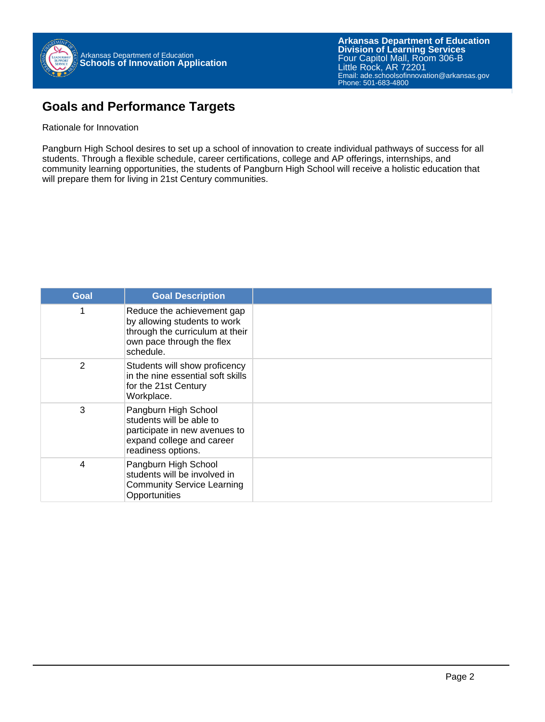**Arkansas Department of Education** Email: ade.schoolsofinnovation@arkansas.gov **Division of Learning Services** Four Capitol Mall, Room 306-B Little Rock, AR 72201 Phone: 501-683-4800

## **Goals and Performance Targets**

#### Rationale for Innovation

Pangburn High School desires to set up a school of innovation to create individual pathways of success for all students. Through a flexible schedule, career certifications, college and AP offerings, internships, and community learning opportunities, the students of Pangburn High School will receive a holistic education that will prepare them for living in 21st Century communities.

| <b>Goal</b> | <b>Goal Description</b>                                                                                                                 |  |
|-------------|-----------------------------------------------------------------------------------------------------------------------------------------|--|
| 1           | Reduce the achievement gap<br>by allowing students to work<br>through the curriculum at their<br>own pace through the flex<br>schedule. |  |
| 2           | Students will show proficency<br>in the nine essential soft skills<br>for the 21st Century<br>Workplace.                                |  |
| 3           | Pangburn High School<br>students will be able to<br>participate in new avenues to<br>expand college and career<br>readiness options.    |  |
| 4           | Pangburn High School<br>students will be involved in<br><b>Community Service Learning</b><br>Opportunities                              |  |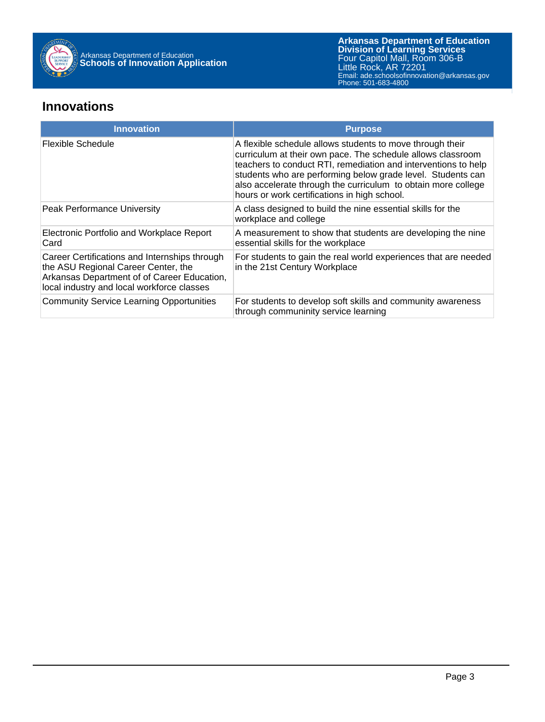

#### **Innovations**

| <b>Innovation</b>                                                                                                                                                                 | <b>Purpose</b>                                                                                                                                                                                                                                                                                                                                                             |
|-----------------------------------------------------------------------------------------------------------------------------------------------------------------------------------|----------------------------------------------------------------------------------------------------------------------------------------------------------------------------------------------------------------------------------------------------------------------------------------------------------------------------------------------------------------------------|
| Flexible Schedule                                                                                                                                                                 | A flexible schedule allows students to move through their<br>curriculum at their own pace. The schedule allows classroom<br>teachers to conduct RTI, remediation and interventions to help<br>students who are performing below grade level. Students can<br>also accelerate through the curriculum to obtain more college<br>hours or work certifications in high school. |
| Peak Performance University                                                                                                                                                       | A class designed to build the nine essential skills for the<br>workplace and college                                                                                                                                                                                                                                                                                       |
| Electronic Portfolio and Workplace Report<br>Card                                                                                                                                 | A measurement to show that students are developing the nine<br>essential skills for the workplace                                                                                                                                                                                                                                                                          |
| Career Certifications and Internships through<br>the ASU Regional Career Center, the<br>Arkansas Department of of Career Education,<br>local industry and local workforce classes | For students to gain the real world experiences that are needed<br>in the 21st Century Workplace                                                                                                                                                                                                                                                                           |
| <b>Community Service Learning Opportunities</b>                                                                                                                                   | For students to develop soft skills and community awareness<br>through communinity service learning                                                                                                                                                                                                                                                                        |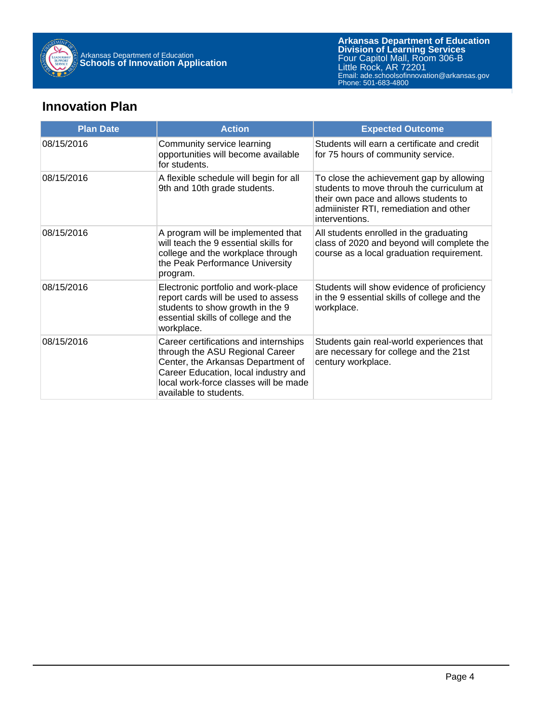

**Arkansas Department of Education** Email: ade.schoolsofinnovation@arkansas.gov **Division of Learning Services** Four Capitol Mall, Room 306-B Little Rock, AR 72201 Phone: 501-683-4800

### **Innovation Plan**

| <b>Plan Date</b> | <b>Action</b>                                                                                                                                                                                                             | <b>Expected Outcome</b>                                                                                                                                                                    |
|------------------|---------------------------------------------------------------------------------------------------------------------------------------------------------------------------------------------------------------------------|--------------------------------------------------------------------------------------------------------------------------------------------------------------------------------------------|
| 08/15/2016       | Community service learning<br>opportunities will become available<br>for students.                                                                                                                                        | Students will earn a certificate and credit<br>for 75 hours of community service.                                                                                                          |
| 08/15/2016       | A flexible schedule will begin for all<br>9th and 10th grade students.                                                                                                                                                    | To close the achievement gap by allowing<br>students to move throuh the curriculum at<br>their own pace and allows students to<br>admiinister RTI, remediation and other<br>interventions. |
| 08/15/2016       | A program will be implemented that<br>will teach the 9 essential skills for<br>college and the workplace through<br>the Peak Performance University<br>program.                                                           | All students enrolled in the graduating<br>class of 2020 and beyond will complete the<br>course as a local graduation requirement.                                                         |
| 08/15/2016       | Electronic portfolio and work-place<br>report cards will be used to assess<br>students to show growth in the 9<br>essential skills of college and the<br>workplace.                                                       | Students will show evidence of proficiency<br>in the 9 essential skills of college and the<br>workplace.                                                                                   |
| 08/15/2016       | Career certifications and internships<br>through the ASU Regional Career<br>Center, the Arkansas Department of<br>Career Education, local industry and<br>local work-force classes will be made<br>available to students. | Students gain real-world experiences that<br>are necessary for college and the 21st<br>century workplace.                                                                                  |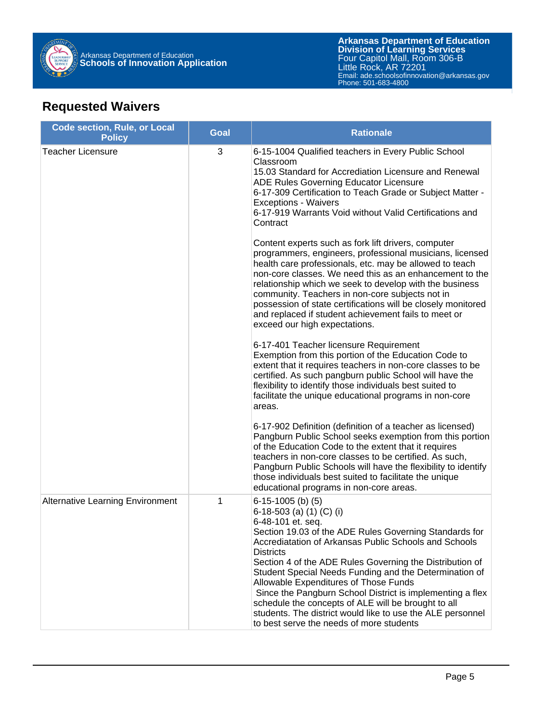

## **Requested Waivers**

| <b>Code section, Rule, or Local</b><br><b>Policy</b> | <b>Goal</b> | <b>Rationale</b>                                                                                                                                                                                                                                                                                                                                                                                                                                                                                                                                                                                                                                                                                                                                                                                                                                                                                                                                                                                                                                                                                                                                                                                                                                                                                                                                                                                                                                                                                                                                                                        |
|------------------------------------------------------|-------------|-----------------------------------------------------------------------------------------------------------------------------------------------------------------------------------------------------------------------------------------------------------------------------------------------------------------------------------------------------------------------------------------------------------------------------------------------------------------------------------------------------------------------------------------------------------------------------------------------------------------------------------------------------------------------------------------------------------------------------------------------------------------------------------------------------------------------------------------------------------------------------------------------------------------------------------------------------------------------------------------------------------------------------------------------------------------------------------------------------------------------------------------------------------------------------------------------------------------------------------------------------------------------------------------------------------------------------------------------------------------------------------------------------------------------------------------------------------------------------------------------------------------------------------------------------------------------------------------|
| <b>Teacher Licensure</b>                             | 3           | 6-15-1004 Qualified teachers in Every Public School<br>Classroom<br>15.03 Standard for Accrediation Licensure and Renewal<br>ADE Rules Governing Educator Licensure<br>6-17-309 Certification to Teach Grade or Subject Matter -<br><b>Exceptions - Waivers</b><br>6-17-919 Warrants Void without Valid Certifications and<br>Contract<br>Content experts such as fork lift drivers, computer<br>programmers, engineers, professional musicians, licensed<br>health care professionals, etc. may be allowed to teach<br>non-core classes. We need this as an enhancement to the<br>relationship which we seek to develop with the business<br>community. Teachers in non-core subjects not in<br>possession of state certifications will be closely monitored<br>and replaced if student achievement fails to meet or<br>exceed our high expectations.<br>6-17-401 Teacher licensure Requirement<br>Exemption from this portion of the Education Code to<br>extent that it requires teachers in non-core classes to be<br>certified. As such pangburn public School will have the<br>flexibility to identify those individuals best suited to<br>facilitate the unique educational programs in non-core<br>areas.<br>6-17-902 Definition (definition of a teacher as licensed)<br>Pangburn Public School seeks exemption from this portion<br>of the Education Code to the extent that it requires<br>teachers in non-core classes to be certified. As such,<br>Pangburn Public Schools will have the flexibility to identify<br>those individuals best suited to facilitate the unique |
| <b>Alternative Learning Environment</b>              | 1           | educational programs in non-core areas.<br>$6-15-1005$ (b) (5)<br>6-18-503 (a) $(1)$ (C) (i)<br>6-48-101 et. seq.<br>Section 19.03 of the ADE Rules Governing Standards for<br>Accrediatation of Arkansas Public Schools and Schools<br><b>Districts</b><br>Section 4 of the ADE Rules Governing the Distribution of<br>Student Special Needs Funding and the Determination of<br>Allowable Expenditures of Those Funds<br>Since the Pangburn School District is implementing a flex<br>schedule the concepts of ALE will be brought to all<br>students. The district would like to use the ALE personnel<br>to best serve the needs of more students                                                                                                                                                                                                                                                                                                                                                                                                                                                                                                                                                                                                                                                                                                                                                                                                                                                                                                                                   |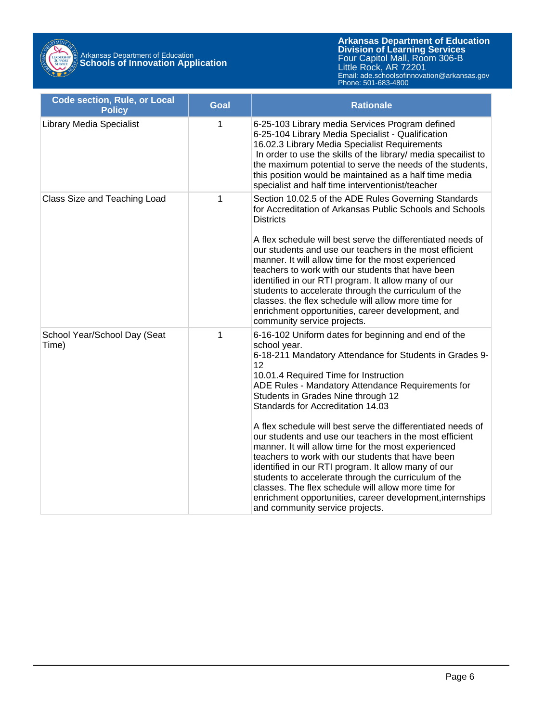

Arkansas Department of Education **Schools of Innovation Application**

**Arkansas Department of Education** Email: ade.schoolsofinnovation@arkansas.gov **Division of Learning Services** Four Capitol Mall, Room 306-B Little Rock, AR 72201 Phone: 501-683-4800

| <b>Code section, Rule, or Local</b><br><b>Policy</b> | <b>Goal</b> | <b>Rationale</b>                                                                                                                                                                                                                                                                                                                                                                                                                                                                                                                                                                                                                                                                                                                                                                                                          |
|------------------------------------------------------|-------------|---------------------------------------------------------------------------------------------------------------------------------------------------------------------------------------------------------------------------------------------------------------------------------------------------------------------------------------------------------------------------------------------------------------------------------------------------------------------------------------------------------------------------------------------------------------------------------------------------------------------------------------------------------------------------------------------------------------------------------------------------------------------------------------------------------------------------|
| <b>Library Media Specialist</b>                      | 1           | 6-25-103 Library media Services Program defined<br>6-25-104 Library Media Specialist - Qualification<br>16.02.3 Library Media Specialist Requirements<br>In order to use the skills of the library/ media specailist to<br>the maximum potential to serve the needs of the students,<br>this position would be maintained as a half time media<br>specialist and half time interventionist/teacher                                                                                                                                                                                                                                                                                                                                                                                                                        |
| Class Size and Teaching Load                         | $\mathbf 1$ | Section 10.02.5 of the ADE Rules Governing Standards<br>for Accreditation of Arkansas Public Schools and Schools<br><b>Districts</b><br>A flex schedule will best serve the differentiated needs of<br>our students and use our teachers in the most efficient<br>manner. It will allow time for the most experienced<br>teachers to work with our students that have been<br>identified in our RTI program. It allow many of our<br>students to accelerate through the curriculum of the<br>classes. the flex schedule will allow more time for<br>enrichment opportunities, career development, and<br>community service projects.                                                                                                                                                                                      |
| School Year/School Day (Seat<br>Time)                | 1           | 6-16-102 Uniform dates for beginning and end of the<br>school year.<br>6-18-211 Mandatory Attendance for Students in Grades 9-<br>12<br>10.01.4 Required Time for Instruction<br>ADE Rules - Mandatory Attendance Requirements for<br>Students in Grades Nine through 12<br>Standards for Accreditation 14.03<br>A flex schedule will best serve the differentiated needs of<br>our students and use our teachers in the most efficient<br>manner. It will allow time for the most experienced<br>teachers to work with our students that have been<br>identified in our RTI program. It allow many of our<br>students to accelerate through the curriculum of the<br>classes. The flex schedule will allow more time for<br>enrichment opportunities, career development, internships<br>and community service projects. |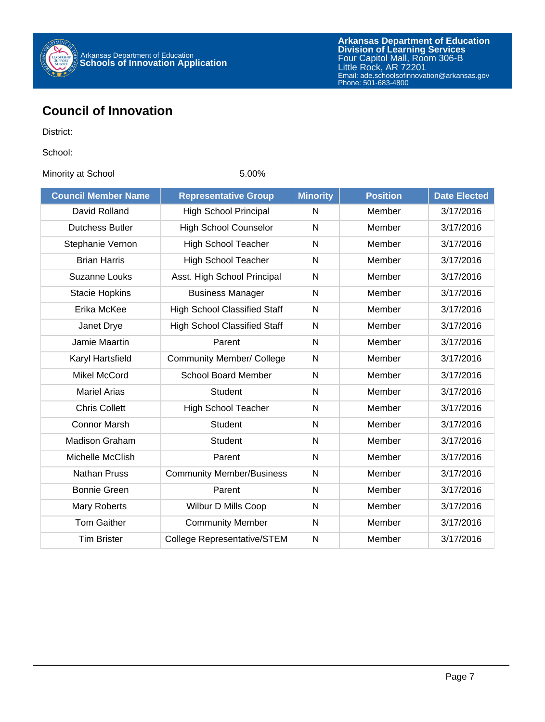

## **Council of Innovation**

District:

School:

Minority at School 5.00%

| <b>Council Member Name</b> | <b>Representative Group</b>         | <b>Minority</b> | <b>Position</b> | <b>Date Elected</b> |
|----------------------------|-------------------------------------|-----------------|-----------------|---------------------|
| David Rolland              | <b>High School Principal</b>        | N               | Member          | 3/17/2016           |
| <b>Dutchess Butler</b>     | <b>High School Counselor</b>        | N               | Member          | 3/17/2016           |
| Stephanie Vernon           | <b>High School Teacher</b>          | $\mathsf{N}$    | Member          | 3/17/2016           |
| <b>Brian Harris</b>        | <b>High School Teacher</b>          | N               | Member          | 3/17/2016           |
| <b>Suzanne Louks</b>       | Asst. High School Principal         | N               | Member          | 3/17/2016           |
| <b>Stacie Hopkins</b>      | <b>Business Manager</b>             | $\mathsf{N}$    | Member          | 3/17/2016           |
| Erika McKee                | <b>High School Classified Staff</b> | $\mathsf{N}$    | Member          | 3/17/2016           |
| Janet Drye                 | <b>High School Classified Staff</b> | $\mathsf{N}$    | Member          | 3/17/2016           |
| Jamie Maartin              | Parent                              | $\mathsf{N}$    | Member          | 3/17/2016           |
| Karyl Hartsfield           | <b>Community Member/ College</b>    | N               | Member          | 3/17/2016           |
| <b>Mikel McCord</b>        | <b>School Board Member</b>          | N               | Member          | 3/17/2016           |
| <b>Mariel Arias</b>        | <b>Student</b>                      | $\mathsf{N}$    | Member          | 3/17/2016           |
| <b>Chris Collett</b>       | <b>High School Teacher</b>          | $\mathsf{N}$    | Member          | 3/17/2016           |
| <b>Connor Marsh</b>        | <b>Student</b>                      | N               | Member          | 3/17/2016           |
| <b>Madison Graham</b>      | Student                             | $\mathsf{N}$    | Member          | 3/17/2016           |
| Michelle McClish           | Parent                              | $\mathsf{N}$    | Member          | 3/17/2016           |
| <b>Nathan Pruss</b>        | <b>Community Member/Business</b>    | $\mathsf{N}$    | Member          | 3/17/2016           |
| <b>Bonnie Green</b>        | Parent                              | N               | Member          | 3/17/2016           |
| Mary Roberts               | Wilbur D Mills Coop                 | $\mathsf{N}$    | Member          | 3/17/2016           |
| <b>Tom Gaither</b>         | <b>Community Member</b>             | $\mathsf{N}$    | Member          | 3/17/2016           |
| <b>Tim Brister</b>         | <b>College Representative/STEM</b>  | N               | Member          | 3/17/2016           |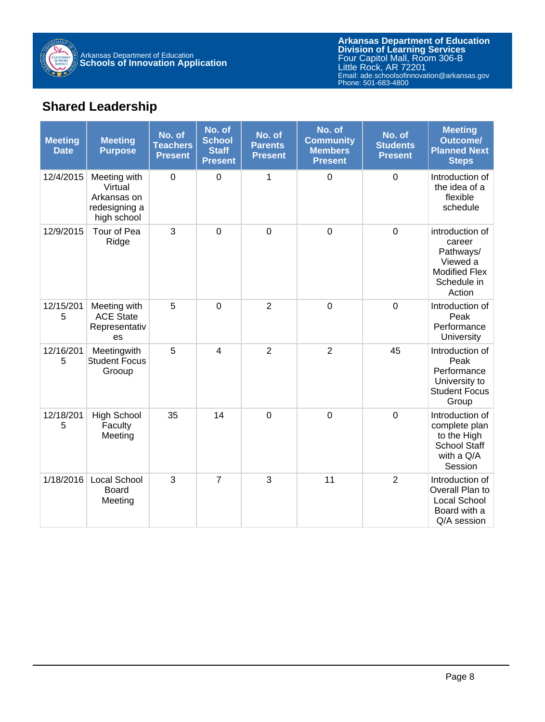

**Arkansas Department of Education** Email: ade.schoolsofinnovation@arkansas.gov **Division of Learning Services** Four Capitol Mall, Room 306-B Little Rock, AR 72201 Phone: 501-683-4800

## **Shared Leadership**

| <b>Meeting</b><br><b>Date</b> | <b>Meeting</b><br><b>Purpose</b>                                       | No. of<br><b>Teachers</b><br><b>Present</b> | No. of<br><b>School</b><br><b>Staff</b><br><b>Present</b> | No. of<br><b>Parents</b><br><b>Present</b> | No. of<br><b>Community</b><br><b>Members</b><br><b>Present</b> | No. of<br><b>Students</b><br><b>Present</b> | <b>Meeting</b><br>Outcome/<br><b>Planned Next</b><br><b>Steps</b>                                   |
|-------------------------------|------------------------------------------------------------------------|---------------------------------------------|-----------------------------------------------------------|--------------------------------------------|----------------------------------------------------------------|---------------------------------------------|-----------------------------------------------------------------------------------------------------|
| 12/4/2015                     | Meeting with<br>Virtual<br>Arkansas on<br>redesigning a<br>high school | $\mathbf 0$                                 | $\mathbf 0$                                               | 1                                          | $\mathbf 0$                                                    | $\mathbf 0$                                 | Introduction of<br>the idea of a<br>flexible<br>schedule                                            |
| 12/9/2015                     | Tour of Pea<br>Ridge                                                   | 3                                           | $\overline{0}$                                            | $\overline{0}$                             | $\overline{0}$                                                 | $\overline{0}$                              | introduction of<br>career<br>Pathways/<br>Viewed a<br><b>Modified Flex</b><br>Schedule in<br>Action |
| 12/15/201<br>5                | Meeting with<br><b>ACE State</b><br>Representativ<br>es                | 5                                           | $\overline{0}$                                            | $\overline{2}$                             | $\mathbf 0$                                                    | $\overline{0}$                              | Introduction of<br>Peak<br>Performance<br>University                                                |
| 12/16/201<br>5                | Meetingwith<br><b>Student Focus</b><br>Grooup                          | 5                                           | $\overline{\mathcal{L}}$                                  | $\overline{2}$                             | $\overline{2}$                                                 | 45                                          | Introduction of<br>Peak<br>Performance<br>University to<br><b>Student Focus</b><br>Group            |
| 12/18/201<br>5                | <b>High School</b><br>Faculty<br>Meeting                               | 35                                          | 14                                                        | $\overline{0}$                             | $\mathbf 0$                                                    | $\overline{0}$                              | Introduction of<br>complete plan<br>to the High<br><b>School Staff</b><br>with a Q/A<br>Session     |
| 1/18/2016                     | <b>Local School</b><br><b>Board</b><br>Meeting                         | 3                                           | $\overline{7}$                                            | 3                                          | 11                                                             | $\overline{2}$                              | Introduction of<br>Overall Plan to<br>Local School<br>Board with a<br>Q/A session                   |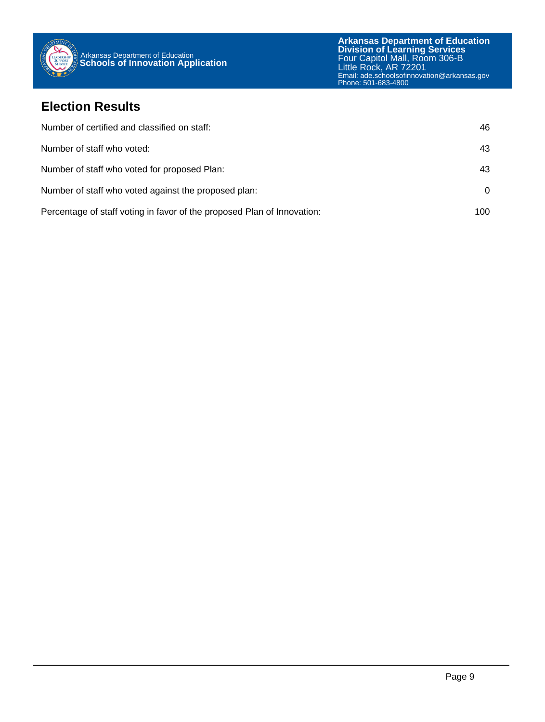

### **Election Results**

| Number of certified and classified on staff:                            | 46       |
|-------------------------------------------------------------------------|----------|
| Number of staff who voted:                                              | 43       |
| Number of staff who voted for proposed Plan:                            | 43       |
| Number of staff who voted against the proposed plan:                    | $\Omega$ |
| Percentage of staff voting in favor of the proposed Plan of Innovation: | 100      |